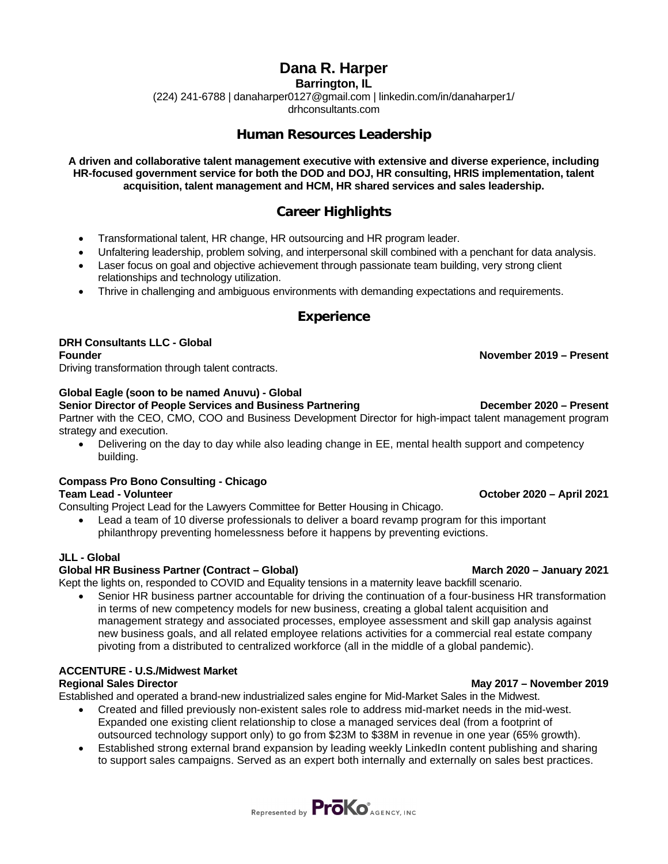# **Dana R. Harper**

**Barrington, IL**

(224) 241-6788 | danaharper0127@gmail.com | linkedin.com/in/danaharper1/

drhconsultants.com

## **Human Resources Leadership**

**A driven and collaborative talent management executive with extensive and diverse experience, including HR-focused government service for both the DOD and DOJ, HR consulting, HRIS implementation, talent acquisition, talent management and HCM, HR shared services and sales leadership.** 

# **Career Highlights**

- Transformational talent, HR change, HR outsourcing and HR program leader.
- Unfaltering leadership, problem solving, and interpersonal skill combined with a penchant for data analysis.
- Laser focus on goal and objective achievement through passionate team building, very strong client relationships and technology utilization.
- Thrive in challenging and ambiguous environments with demanding expectations and requirements.

### **Experience**

**DRH Consultants LLC - Global**

Driving transformation through talent contracts.

### **Global Eagle (soon to be named Anuvu) - Global**

**Senior Director of People Services and Business Partnering December 2020 – Present** Partner with the CEO, CMO, COO and Business Development Director for high-impact talent management program strategy and execution.

• Delivering on the day to day while also leading change in EE, mental health support and competency building.

### **Compass Pro Bono Consulting - Chicago**

### **Team Lead - Volunteer October 2020 – April 2021**

Consulting Project Lead for the Lawyers Committee for Better Housing in Chicago.

• Lead a team of 10 diverse professionals to deliver a board revamp program for this important philanthropy preventing homelessness before it happens by preventing evictions.

### **JLL - Global**

### **Global HR Business Partner (Contract – Global) March 2020 – January 2021**

Kept the lights on, responded to COVID and Equality tensions in a maternity leave backfill scenario.

• Senior HR business partner accountable for driving the continuation of a four-business HR transformation in terms of new competency models for new business, creating a global talent acquisition and management strategy and associated processes, employee assessment and skill gap analysis against new business goals, and all related employee relations activities for a commercial real estate company pivoting from a distributed to centralized workforce (all in the middle of a global pandemic).

# **ACCENTURE - U.S./Midwest Market**

Established and operated a brand-new industrialized sales engine for Mid-Market Sales in the Midwest.

- Created and filled previously non-existent sales role to address mid-market needs in the mid-west. Expanded one existing client relationship to close a managed services deal (from a footprint of outsourced technology support only) to go from \$23M to \$38M in revenue in one year (65% growth).
- Established strong external brand expansion by leading weekly LinkedIn content publishing and sharing to support sales campaigns. Served as an expert both internally and externally on sales best practices.



**Regional Sales Director May 2017 – November 2019**

**Founder November 2019 – Present**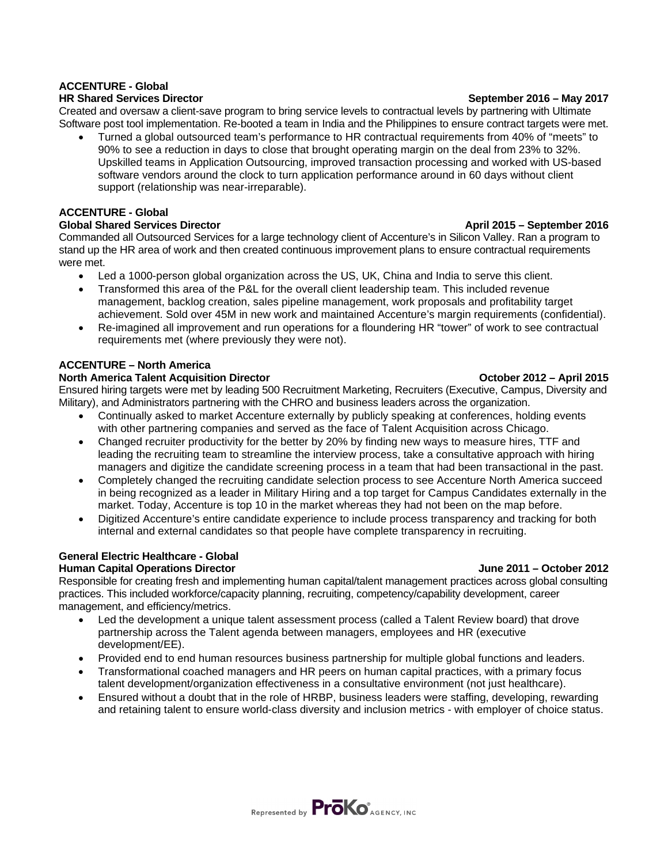# **ACCENTURE - Global**

Created and oversaw a client-save program to bring service levels to contractual levels by partnering with Ultimate Software post tool implementation. Re-booted a team in India and the Philippines to ensure contract targets were met.

• Turned a global outsourced team's performance to HR contractual requirements from 40% of "meets" to 90% to see a reduction in days to close that brought operating margin on the deal from 23% to 32%. Upskilled teams in Application Outsourcing, improved transaction processing and worked with US-based software vendors around the clock to turn application performance around in 60 days without client support (relationship was near-irreparable).

### **ACCENTURE - Global**

### **Global Shared Services Director April 2015 – September 2016**

Commanded all Outsourced Services for a large technology client of Accenture's in Silicon Valley. Ran a program to stand up the HR area of work and then created continuous improvement plans to ensure contractual requirements were met.

- Led a 1000-person global organization across the US, UK, China and India to serve this client.
- Transformed this area of the P&L for the overall client leadership team. This included revenue management, backlog creation, sales pipeline management, work proposals and profitability target achievement. Sold over 45M in new work and maintained Accenture's margin requirements (confidential).
- Re-imagined all improvement and run operations for a floundering HR "tower" of work to see contractual requirements met (where previously they were not).

### **ACCENTURE – North America**

### **North America Talent Acquisition Director Community Community Community Community Community Community Community Community Community Community Community Community Community Community Community Community Community Community**

Ensured hiring targets were met by leading 500 Recruitment Marketing, Recruiters (Executive, Campus, Diversity and Military), and Administrators partnering with the CHRO and business leaders across the organization.

- Continually asked to market Accenture externally by publicly speaking at conferences, holding events with other partnering companies and served as the face of Talent Acquisition across Chicago.
- Changed recruiter productivity for the better by 20% by finding new ways to measure hires, TTF and leading the recruiting team to streamline the interview process, take a consultative approach with hiring managers and digitize the candidate screening process in a team that had been transactional in the past.
- Completely changed the recruiting candidate selection process to see Accenture North America succeed in being recognized as a leader in Military Hiring and a top target for Campus Candidates externally in the market. Today, Accenture is top 10 in the market whereas they had not been on the map before.
- Digitized Accenture's entire candidate experience to include process transparency and tracking for both internal and external candidates so that people have complete transparency in recruiting.

### **General Electric Healthcare - Global**

### **Human Capital Operations Director June 2011 – October 2012**

Responsible for creating fresh and implementing human capital/talent management practices across global consulting practices. This included workforce/capacity planning, recruiting, competency/capability development, career management, and efficiency/metrics.

- Led the development a unique talent assessment process (called a Talent Review board) that drove partnership across the Talent agenda between managers, employees and HR (executive development/EE).
- Provided end to end human resources business partnership for multiple global functions and leaders.
- Transformational coached managers and HR peers on human capital practices, with a primary focus talent development/organization effectiveness in a consultative environment (not just healthcare).
- Ensured without a doubt that in the role of HRBP, business leaders were staffing, developing, rewarding and retaining talent to ensure world-class diversity and inclusion metrics - with employer of choice status.

**HR Shared Services Director September 2016 – May 2017**